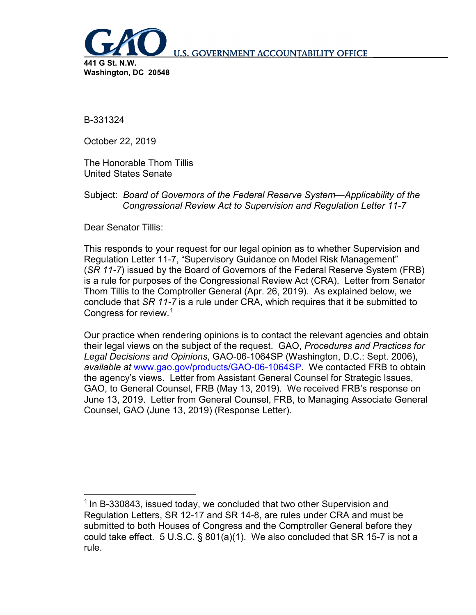

**U.S. GOVERNMENT ACCOUNTABILITY OFFICE** 

B-331324

October 22, 2019

The Honorable Thom Tillis United States Senate

Subject: *Board of Governors of the Federal Reserve System—Applicability of the Congressional Review Act to Supervision and Regulation Letter 11-7*

Dear Senator Tillis:

This responds to your request for our legal opinion as to whether Supervision and Regulation Letter 11-7, "Supervisory Guidance on Model Risk Management" (*SR 11-7*) issued by the Board of Governors of the Federal Reserve System (FRB) is a rule for purposes of the Congressional Review Act (CRA). Letter from Senator Thom Tillis to the Comptroller General (Apr. 26, 2019). As explained below, we conclude that *SR 11-7* is a rule under CRA, which requires that it be submitted to Congress for review.[1](#page-0-0)

Our practice when rendering opinions is to contact the relevant agencies and obtain their legal views on the subject of the request. GAO, *Procedures and Practices for Legal Decisions and Opinions*, GAO-06-1064SP (Washington, D.C.: Sept. 2006), *available at* [www.gao.gov/products/GAO-06-1064SP.](http://www.gao.gov/products/GAO-06-1064SP) We contacted FRB to obtain the agency's views. Letter from Assistant General Counsel for Strategic Issues, GAO, to General Counsel, FRB (May 13, 2019). We received FRB's response on June 13, 2019. Letter from General Counsel, FRB, to Managing Associate General Counsel, GAO (June 13, 2019) (Response Letter).

<span id="page-0-0"></span><sup>&</sup>lt;sup>1</sup> In B-330843, issued today, we concluded that two other Supervision and Regulation Letters, SR 12-17 and SR 14-8, are rules under CRA and must be submitted to both Houses of Congress and the Comptroller General before they could take effect. 5 U.S.C. § 801(a)(1). We also concluded that SR 15-7 is not a rule.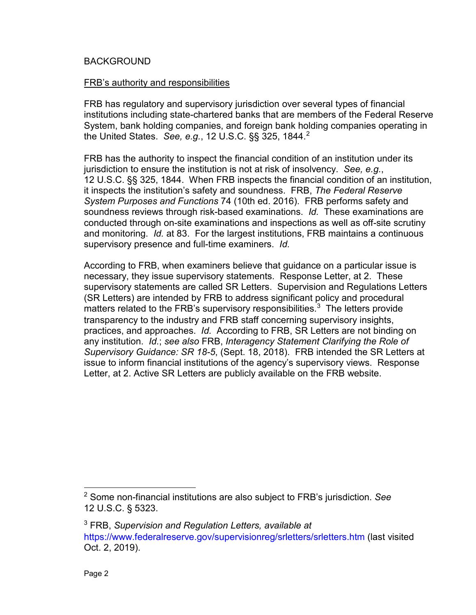#### BACKGROUND

#### FRB's authority and responsibilities

FRB has regulatory and supervisory jurisdiction over several types of financial institutions including state-chartered banks that are members of the Federal Reserve System, bank holding companies, and foreign bank holding companies operating in the United States. *See, e.g.*, 12 U.S.C. §§ 325, 1844.[2](#page-1-0)

FRB has the authority to inspect the financial condition of an institution under its jurisdiction to ensure the institution is not at risk of insolvency. *See, e.g.*, 12 U.S.C. §§ 325, 1844. When FRB inspects the financial condition of an institution, it inspects the institution's safety and soundness. FRB, *The Federal Reserve System Purposes and Functions* 74 (10th ed. 2016). FRB performs safety and soundness reviews through risk-based examinations. *Id.* These examinations are conducted through on-site examinations and inspections as well as off-site scrutiny and monitoring. *Id.* at 83. For the largest institutions, FRB maintains a continuous supervisory presence and full-time examiners. *Id.*

According to FRB, when examiners believe that guidance on a particular issue is necessary, they issue supervisory statements. Response Letter, at 2. These supervisory statements are called SR Letters. Supervision and Regulations Letters (SR Letters) are intended by FRB to address significant policy and procedural matters related to the FRB's supervisory responsibilities.<sup>[3](#page-1-1)</sup> The letters provide transparency to the industry and FRB staff concerning supervisory insights, practices, and approaches. *Id.* According to FRB, SR Letters are not binding on any institution. *Id.*; *see also* FRB, *Interagency Statement Clarifying the Role of Supervisory Guidance: SR 18-5*, (Sept. 18, 2018).FRB intended the SR Letters at issue to inform financial institutions of the agency's supervisory views. Response Letter, at 2. Active SR Letters are publicly available on the FRB website.

<span id="page-1-0"></span> <sup>2</sup> Some non-financial institutions are also subject to FRB's jurisdiction. *See*  12 U.S.C. § 5323.

<span id="page-1-1"></span><sup>3</sup> FRB, *Supervision and Regulation Letters, available at*  <https://www.federalreserve.gov/supervisionreg/srletters/srletters.htm> (last visited Oct. 2, 2019).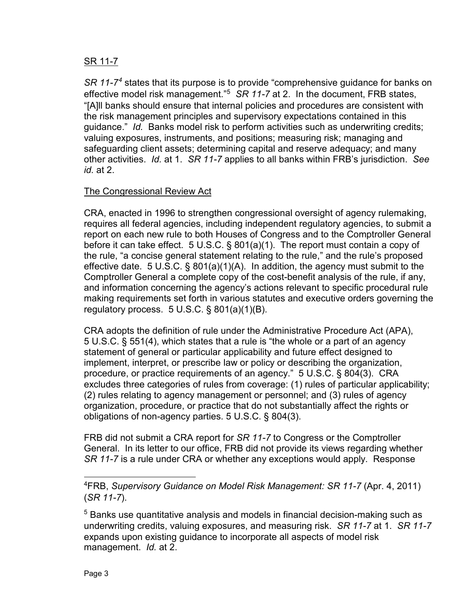## SR 11-7

*SR 11-7[4](#page-2-0)* states that its purpose is to provide "comprehensive guidance for banks on effective model risk management.<sup>"[5](#page-2-1)</sup> SR 11-7 at 2. In the document, FRB states, "[A]ll banks should ensure that internal policies and procedures are consistent with the risk management principles and supervisory expectations contained in this guidance." *Id.* Banks model risk to perform activities such as underwriting credits; valuing exposures, instruments, and positions; measuring risk; managing and safeguarding client assets; determining capital and reserve adequacy; and many other activities. *Id.* at 1. *SR 11-7* applies to all banks within FRB's jurisdiction. *See id.* at 2.

# The Congressional Review Act

CRA, enacted in 1996 to strengthen congressional oversight of agency rulemaking, requires all federal agencies, including independent regulatory agencies, to submit a report on each new rule to both Houses of Congress and to the Comptroller General before it can take effect. 5 U.S.C. § 801(a)(1). The report must contain a copy of the rule, "a concise general statement relating to the rule," and the rule's proposed effective date. 5 U.S.C. § 801(a)(1)(A). In addition, the agency must submit to the Comptroller General a complete copy of the cost-benefit analysis of the rule, if any, and information concerning the agency's actions relevant to specific procedural rule making requirements set forth in various statutes and executive orders governing the regulatory process.  $5 \text{ U.S.C.}$  § 801(a)(1)(B).

CRA adopts the definition of rule under the Administrative Procedure Act (APA), 5 U.S.C. § 551(4), which states that a rule is "the whole or a part of an agency statement of general or particular applicability and future effect designed to implement, interpret, or prescribe law or policy or describing the organization, procedure, or practice requirements of an agency." 5 U.S.C. § 804(3). CRA excludes three categories of rules from coverage: (1) rules of particular applicability; (2) rules relating to agency management or personnel; and (3) rules of agency organization, procedure, or practice that do not substantially affect the rights or obligations of non-agency parties. 5 U.S.C. § 804(3).

FRB did not submit a CRA report for *SR 11-7* to Congress or the Comptroller General. In its letter to our office, FRB did not provide its views regarding whether *SR 11-7* is a rule under CRA or whether any exceptions would apply. Response

<span id="page-2-0"></span> <sup>4</sup> FRB, *Supervisory Guidance on Model Risk Management: SR 11-7* (Apr. 4, 2011) (*SR 11-7*).

<span id="page-2-1"></span><sup>&</sup>lt;sup>5</sup> Banks use quantitative analysis and models in financial decision-making such as underwriting credits, valuing exposures, and measuring risk. *SR 11-7* at 1. *SR 11-7* expands upon existing guidance to incorporate all aspects of model risk management. *Id.* at 2.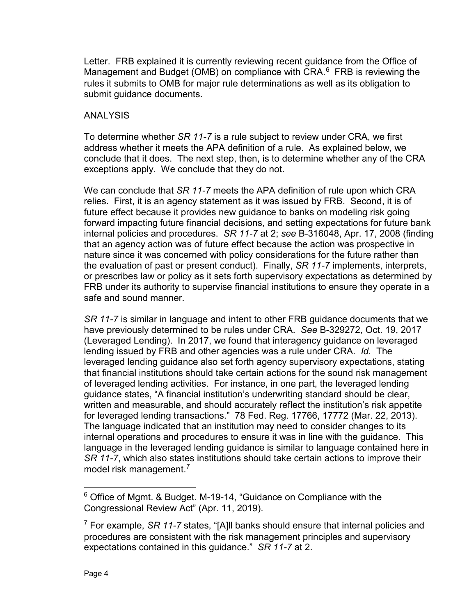Letter. FRB explained it is currently reviewing recent guidance from the Office of Management and Budget (OMB) on compliance with CRA. $<sup>6</sup>$  $<sup>6</sup>$  $<sup>6</sup>$  FRB is reviewing the</sup> rules it submits to OMB for major rule determinations as well as its obligation to submit guidance documents.

## ANALYSIS

To determine whether *SR 11-7* is a rule subject to review under CRA, we first address whether it meets the APA definition of a rule. As explained below, we conclude that it does. The next step, then, is to determine whether any of the CRA exceptions apply. We conclude that they do not.

We can conclude that *SR 11-7* meets the APA definition of rule upon which CRA relies. First, it is an agency statement as it was issued by FRB. Second, it is of future effect because it provides new guidance to banks on modeling risk going forward impacting future financial decisions, and setting expectations for future bank internal policies and procedures. *SR 11-7* at 2; *see* B-316048, Apr. 17, 2008 (finding that an agency action was of future effect because the action was prospective in nature since it was concerned with policy considerations for the future rather than the evaluation of past or present conduct). Finally, *SR 11-7* implements, interprets, or prescribes law or policy as it sets forth supervisory expectations as determined by FRB under its authority to supervise financial institutions to ensure they operate in a safe and sound manner.

*SR 11-7* is similar in language and intent to other FRB guidance documents that we have previously determined to be rules under CRA. *See* B-329272, Oct. 19, 2017 (Leveraged Lending). In 2017, we found that interagency guidance on leveraged lending issued by FRB and other agencies was a rule under CRA. *Id.* The leveraged lending guidance also set forth agency supervisory expectations, stating that financial institutions should take certain actions for the sound risk management of leveraged lending activities. For instance, in one part, the leveraged lending guidance states, "A financial institution's underwriting standard should be clear, written and measurable, and should accurately reflect the institution's risk appetite for leveraged lending transactions." 78 Fed. Reg. 17766, 17772 (Mar. 22, 2013). The language indicated that an institution may need to consider changes to its internal operations and procedures to ensure it was in line with the guidance. This language in the leveraged lending guidance is similar to language contained here in *SR 11-7*, which also states institutions should take certain actions to improve their model risk management.<sup>[7](#page-3-1)</sup>

<span id="page-3-0"></span> <sup>6</sup> Office of Mgmt. & Budget. M-19-14, "Guidance on Compliance with the Congressional Review Act" (Apr. 11, 2019).

<span id="page-3-1"></span><sup>7</sup> For example, *SR 11-7* states, "[A]ll banks should ensure that internal policies and procedures are consistent with the risk management principles and supervisory expectations contained in this guidance." *SR 11-7* at 2.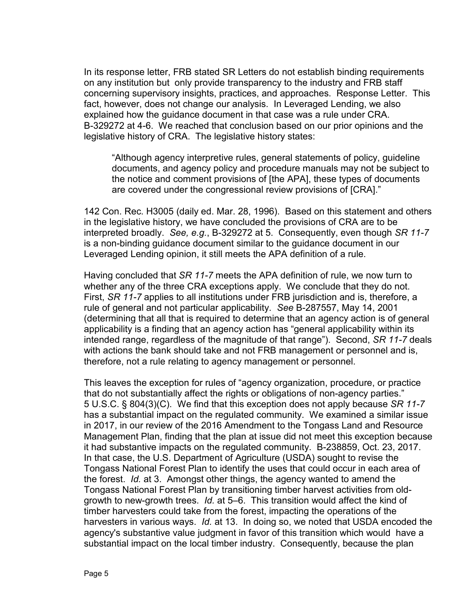In its response letter, FRB stated SR Letters do not establish binding requirements on any institution but only provide transparency to the industry and FRB staff concerning supervisory insights, practices, and approaches. Response Letter. This fact, however, does not change our analysis. In Leveraged Lending, we also explained how the guidance document in that case was a rule under CRA. B-329272 at 4-6. We reached that conclusion based on our prior opinions and the legislative history of CRA. The legislative history states:

"Although agency interpretive rules, general statements of policy, guideline documents, and agency policy and procedure manuals may not be subject to the notice and comment provisions of [the APA], these types of documents are covered under the congressional review provisions of [CRA]."

142 Con. Rec. H3005 (daily ed. Mar. 28, 1996). Based on this statement and others in the legislative history, we have concluded the provisions of CRA are to be interpreted broadly. *See, e.g.*, B-329272 at 5. Consequently, even though *SR 11-7* is a non-binding guidance document similar to the guidance document in our Leveraged Lending opinion, it still meets the APA definition of a rule.

Having concluded that *SR 11-7* meets the APA definition of rule, we now turn to whether any of the three CRA exceptions apply. We conclude that they do not. First, *SR 11-7* applies to all institutions under FRB jurisdiction and is, therefore, a rule of general and not particular applicability. *See* B-287557, May 14, 2001 (determining that all that is required to determine that an agency action is of general applicability is a finding that an agency action has "general applicability within its intended range, regardless of the magnitude of that range"). Second, *SR 11-7* deals with actions the bank should take and not FRB management or personnel and is, therefore, not a rule relating to agency management or personnel.

This leaves the exception for rules of "agency organization, procedure, or practice that do not substantially affect the rights or obligations of non-agency parties." 5 U.S.C. § 804(3)(C). We find that this exception does not apply because *SR 11-7* has a substantial impact on the regulated community. We examined a similar issue in 2017, in our review of the 2016 Amendment to the Tongass Land and Resource Management Plan, finding that the plan at issue did not meet this exception because it had substantive impacts on the regulated community. B-238859, Oct. 23, 2017. In that case, the U.S. Department of Agriculture (USDA) sought to revise the Tongass National Forest Plan to identify the uses that could occur in each area of the forest. *Id.* at 3. Amongst other things, the agency wanted to amend the Tongass National Forest Plan by transitioning timber harvest activities from oldgrowth to new-growth trees. *Id.* at 5–6. This transition would affect the kind of timber harvesters could take from the forest, impacting the operations of the harvesters in various ways. *Id.* at 13. In doing so, we noted that USDA encoded the agency's substantive value judgment in favor of this transition which would have a substantial impact on the local timber industry. Consequently, because the plan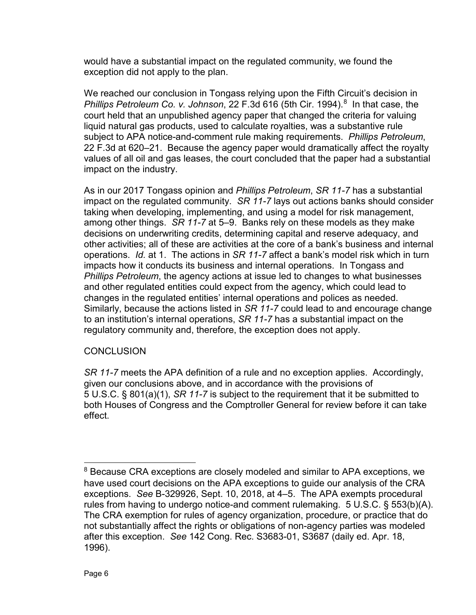would have a substantial impact on the regulated community, we found the exception did not apply to the plan.

We reached our conclusion in Tongass relying upon the Fifth Circuit's decision in Phillips Petroleum Co. v. Johnson, 22 F.3d 616 (5th Cir. 1994).<sup>[8](#page-5-0)</sup> In that case, the court held that an unpublished agency paper that changed the criteria for valuing liquid natural gas products, used to calculate royalties, was a substantive rule subject to APA notice-and-comment rule making requirements. *Phillips Petroleum*, 22 F.3d at 620–21. Because the agency paper would dramatically affect the royalty values of all oil and gas leases, the court concluded that the paper had a substantial impact on the industry.

As in our 2017 Tongass opinion and *Phillips Petroleum*, *SR 11-7* has a substantial impact on the regulated community. *SR 11-7* lays out actions banks should consider taking when developing, implementing, and using a model for risk management, among other things. *SR 11-7* at 5–9. Banks rely on these models as they make decisions on underwriting credits, determining capital and reserve adequacy, and other activities; all of these are activities at the core of a bank's business and internal operations. *Id.* at 1. The actions in *SR 11-7* affect a bank's model risk which in turn impacts how it conducts its business and internal operations. In Tongass and *Phillips Petroleum*, the agency actions at issue led to changes to what businesses and other regulated entities could expect from the agency, which could lead to changes in the regulated entities' internal operations and polices as needed. Similarly, because the actions listed in *SR 11-7* could lead to and encourage change to an institution's internal operations, *SR 11-7* has a substantial impact on the regulatory community and, therefore, the exception does not apply.

# **CONCLUSION**

*SR 11-7* meets the APA definition of a rule and no exception applies. Accordingly, given our conclusions above, and in accordance with the provisions of 5 U.S.C. § 801(a)(1), *SR 11-7* is subject to the requirement that it be submitted to both Houses of Congress and the Comptroller General for review before it can take effect.

<span id="page-5-0"></span><sup>&</sup>lt;sup>8</sup> Because CRA exceptions are closely modeled and similar to APA exceptions, we have used court decisions on the APA exceptions to guide our analysis of the CRA exceptions. *See* B-329926, Sept. 10, 2018, at 4–5. The APA exempts procedural rules from having to undergo notice-and comment rulemaking. 5 U.S.C. § 553(b)(A). The CRA exemption for rules of agency organization, procedure, or practice that do not substantially affect the rights or obligations of non-agency parties was modeled after this exception. *See* 142 Cong. Rec. S3683-01, S3687 (daily ed. Apr. 18, 1996).